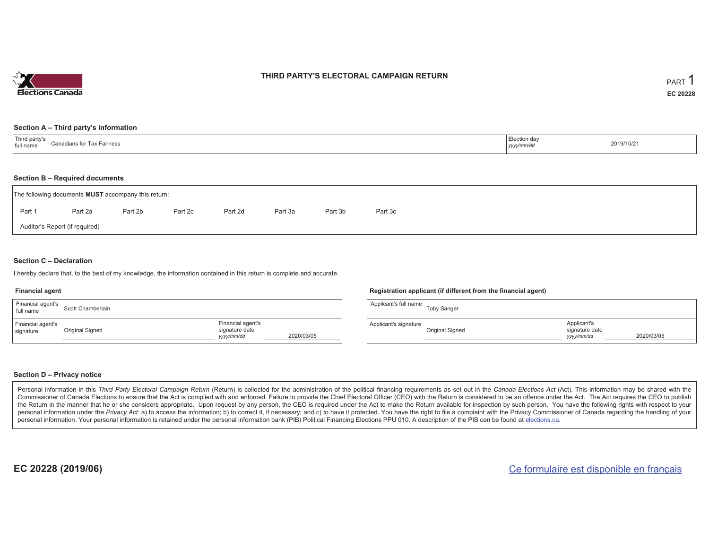

### **THIRD PARTY'S ELECTORAL CAMPAIGN RETURN**

#### **Section A – Third party's information**

| <sup>1</sup> Third party's<br>Canadians for Tax Fairness<br>full name | Election day<br>yyyy/mm/dr' | 2019/10/21 |
|-----------------------------------------------------------------------|-----------------------------|------------|
|-----------------------------------------------------------------------|-----------------------------|------------|

#### **Section B – Required documents**

|        | The following documents <b>MUST</b> accompany this return: |         |         |         |         |         |         |  |
|--------|------------------------------------------------------------|---------|---------|---------|---------|---------|---------|--|
| Part 1 | Part 2a                                                    | Part 2b | Part 2c | Part 2d | Part 3a | Part 3b | Part 3c |  |
|        | Auditor's Report (if required)                             |         |         |         |         |         |         |  |

### **Section C – Declaration**

I hereby declare that, to the best of my knowledge, the information contained in this return is complete and accurate.

#### **Financial agent**

| Financial agent's<br>full name | Scott Chamberlain |                                                   |            | Applican |
|--------------------------------|-------------------|---------------------------------------------------|------------|----------|
| Financial agent's<br>signature | Original Signed   | Financial agent's<br>signature date<br>yyyy/mm/dd | 2020/03/05 | Applican |

#### **Registration applicant (if different from the financial agent)**

| Applicant's full name | <b>Toby Sanger</b> |                                             |            |
|-----------------------|--------------------|---------------------------------------------|------------|
| Applicant's signature | Original Signed    | Applicant's<br>signature date<br>yyyy/mm/dd | 2020/03/05 |

#### **Section D – Privacy notice**

Personal information in this Third Party Electoral Campaign Return (Return) is collected for the administration of the political financing requirements as set out in the Canada Elections Act (Act). This information may be Commissioner of Canada Elections to ensure that the Act is complied with and enforced. Failure to provide the Chief Electoral Officer (CEO) with the Return is considered to be an offence under the Act. The Act requires the the Return in the manner that he or she considers appropriate. Upon request by any person, the CEO is required under the Act to make the Return available for inspection by such person. You have the following rights with re personal information under the Privacy Act: a) to access the information; b) to correct it, if necessary; and c) to have it protected. You have the right to file a complaint with the Privacy Commissioner of Canada regardin personal information. Your personal information is retained under the personal information bank (PIB) Political Financing Elections PPU 010. A description of the PIB can be found at elections.ca.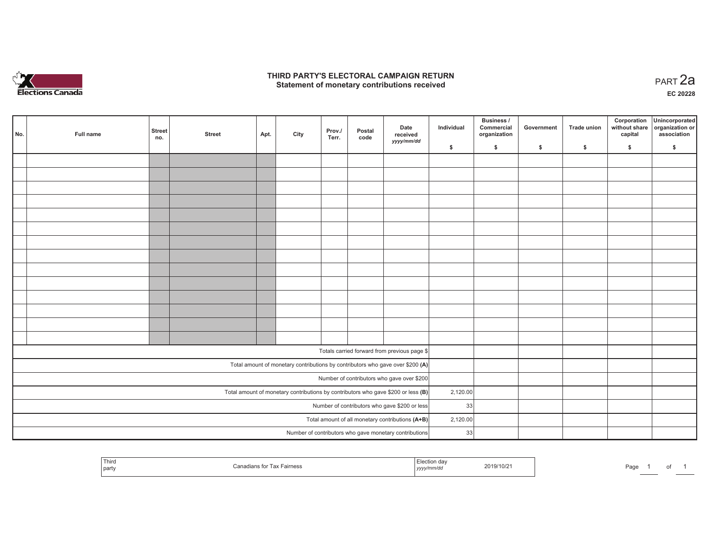

## **THIRD PARTY'S ELECTORAL CAMPAIGN RETURN HIRD PARTY'S ELECTORAL CAMPAIGN RETURN<br>Statement of monetary contributions received PART 2a**

**EC 20228**

| No. | Full name                                    | <b>Street</b><br>no.                                                                | <b>Street</b>                                    | Apt.     | City | Prov./<br>Terr. | Postal<br>code | Date<br>received<br>yyyy/mm/dd                         | Individual | Business /<br>Commercial<br>organization | Government | Trade union | Corporation<br>without share<br>capital | Unincorporated<br>organization or<br>association |
|-----|----------------------------------------------|-------------------------------------------------------------------------------------|--------------------------------------------------|----------|------|-----------------|----------------|--------------------------------------------------------|------------|------------------------------------------|------------|-------------|-----------------------------------------|--------------------------------------------------|
|     |                                              |                                                                                     |                                                  |          |      |                 |                |                                                        | \$         | \$                                       | \$         | \$          | \$                                      | \$                                               |
|     |                                              |                                                                                     |                                                  |          |      |                 |                |                                                        |            |                                          |            |             |                                         |                                                  |
|     |                                              |                                                                                     |                                                  |          |      |                 |                |                                                        |            |                                          |            |             |                                         |                                                  |
|     |                                              |                                                                                     |                                                  |          |      |                 |                |                                                        |            |                                          |            |             |                                         |                                                  |
|     |                                              |                                                                                     |                                                  |          |      |                 |                |                                                        |            |                                          |            |             |                                         |                                                  |
|     |                                              |                                                                                     |                                                  |          |      |                 |                |                                                        |            |                                          |            |             |                                         |                                                  |
|     |                                              |                                                                                     |                                                  |          |      |                 |                |                                                        |            |                                          |            |             |                                         |                                                  |
|     |                                              |                                                                                     |                                                  |          |      |                 |                |                                                        |            |                                          |            |             |                                         |                                                  |
|     |                                              |                                                                                     |                                                  |          |      |                 |                |                                                        |            |                                          |            |             |                                         |                                                  |
|     |                                              |                                                                                     |                                                  |          |      |                 |                |                                                        |            |                                          |            |             |                                         |                                                  |
|     |                                              |                                                                                     |                                                  |          |      |                 |                |                                                        |            |                                          |            |             |                                         |                                                  |
|     |                                              |                                                                                     |                                                  |          |      |                 |                |                                                        |            |                                          |            |             |                                         |                                                  |
|     |                                              |                                                                                     |                                                  |          |      |                 |                |                                                        |            |                                          |            |             |                                         |                                                  |
|     |                                              |                                                                                     |                                                  |          |      |                 |                |                                                        |            |                                          |            |             |                                         |                                                  |
|     |                                              |                                                                                     |                                                  |          |      |                 |                |                                                        |            |                                          |            |             |                                         |                                                  |
|     |                                              |                                                                                     |                                                  |          |      |                 |                |                                                        |            |                                          |            |             |                                         |                                                  |
|     | Totals carried forward from previous page \$ |                                                                                     |                                                  |          |      |                 |                |                                                        |            |                                          |            |             |                                         |                                                  |
|     |                                              | Total amount of monetary contributions by contributors who gave over \$200 (A)      |                                                  |          |      |                 |                |                                                        |            |                                          |            |             |                                         |                                                  |
|     |                                              | Number of contributors who gave over \$200                                          |                                                  |          |      |                 |                |                                                        |            |                                          |            |             |                                         |                                                  |
|     |                                              | Total amount of monetary contributions by contributors who gave \$200 or less $(B)$ | 2,120.00                                         |          |      |                 |                |                                                        |            |                                          |            |             |                                         |                                                  |
|     |                                              |                                                                                     | Number of contributors who gave \$200 or less    | 33       |      |                 |                |                                                        |            |                                          |            |             |                                         |                                                  |
|     |                                              |                                                                                     | Total amount of all monetary contributions (A+B) | 2,120.00 |      |                 |                |                                                        |            |                                          |            |             |                                         |                                                  |
|     |                                              |                                                                                     |                                                  |          |      |                 |                | Number of contributors who gave monetary contributions | 33         |                                          |            |             |                                         |                                                  |

| <sup>I</sup> Third<br>party | airnes:<br>$\overline{a}$ | . | 2019/10/21 | n--<br>∙aɑ∈ |  |  |  |
|-----------------------------|---------------------------|---|------------|-------------|--|--|--|
|-----------------------------|---------------------------|---|------------|-------------|--|--|--|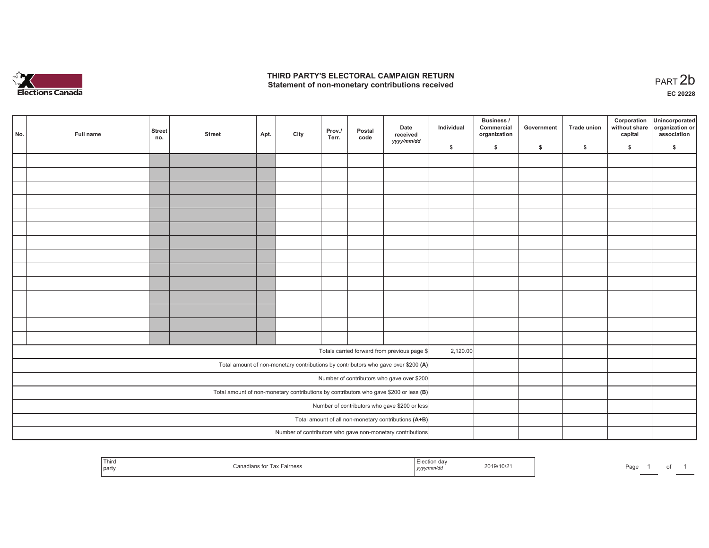

## **THIRD PARTY'S ELECTORAL CAMPAIGN RETURN**  THIRD PARTY'S ELECTORAL CAMPAIGN RETURN<br>Statement of non-monetary contributions received<br> **PART 2b**

of 1

| No. | Full name | <b>Street</b><br>no. | <b>Street</b> | Apt. | City | Prov./<br>Terr. | Postal<br>code | Date<br>received<br>yyyy/mm/dd                                                          | Individual | <b>Business /</b><br>Commercial<br>organization | Government   | Trade union  | Corporation<br>without share<br>capital | Unincorporated<br>organization or<br>association |
|-----|-----------|----------------------|---------------|------|------|-----------------|----------------|-----------------------------------------------------------------------------------------|------------|-------------------------------------------------|--------------|--------------|-----------------------------------------|--------------------------------------------------|
|     |           |                      |               |      |      |                 |                |                                                                                         | \$         | \$                                              | $\mathsf{s}$ | $\mathbf{s}$ | \$                                      | \$                                               |
|     |           |                      |               |      |      |                 |                |                                                                                         |            |                                                 |              |              |                                         |                                                  |
|     |           |                      |               |      |      |                 |                |                                                                                         |            |                                                 |              |              |                                         |                                                  |
|     |           |                      |               |      |      |                 |                |                                                                                         |            |                                                 |              |              |                                         |                                                  |
|     |           |                      |               |      |      |                 |                |                                                                                         |            |                                                 |              |              |                                         |                                                  |
|     |           |                      |               |      |      |                 |                |                                                                                         |            |                                                 |              |              |                                         |                                                  |
|     |           |                      |               |      |      |                 |                |                                                                                         |            |                                                 |              |              |                                         |                                                  |
|     |           |                      |               |      |      |                 |                |                                                                                         |            |                                                 |              |              |                                         |                                                  |
|     |           |                      |               |      |      |                 |                |                                                                                         |            |                                                 |              |              |                                         |                                                  |
|     |           |                      |               |      |      |                 |                |                                                                                         |            |                                                 |              |              |                                         |                                                  |
|     |           |                      |               |      |      |                 |                |                                                                                         |            |                                                 |              |              |                                         |                                                  |
|     |           |                      |               |      |      |                 |                |                                                                                         |            |                                                 |              |              |                                         |                                                  |
|     |           |                      |               |      |      |                 |                |                                                                                         |            |                                                 |              |              |                                         |                                                  |
|     |           |                      |               |      |      |                 |                |                                                                                         |            |                                                 |              |              |                                         |                                                  |
|     |           |                      |               |      |      |                 |                |                                                                                         |            |                                                 |              |              |                                         |                                                  |
|     |           |                      |               |      |      |                 |                |                                                                                         |            |                                                 |              |              |                                         |                                                  |
|     |           |                      |               |      |      |                 |                | Totals carried forward from previous page \$                                            | 2,120.00   |                                                 |              |              |                                         |                                                  |
|     |           |                      |               |      |      |                 |                | Total amount of non-monetary contributions by contributors who gave over \$200 (A)      |            |                                                 |              |              |                                         |                                                  |
|     |           |                      |               |      |      |                 |                | Number of contributors who gave over \$200                                              |            |                                                 |              |              |                                         |                                                  |
|     |           |                      |               |      |      |                 |                | Total amount of non-monetary contributions by contributors who gave \$200 or less $(B)$ |            |                                                 |              |              |                                         |                                                  |
|     |           |                      |               |      |      |                 |                | Number of contributors who gave \$200 or less                                           |            |                                                 |              |              |                                         |                                                  |
|     |           |                      |               |      |      |                 |                | Total amount of all non-monetary contributions (A+B)                                    |            |                                                 |              |              |                                         |                                                  |
|     |           |                      |               |      |      |                 |                | Number of contributors who gave non-monetary contributions                              |            |                                                 |              |              |                                         |                                                  |
|     |           |                      |               |      |      |                 |                |                                                                                         |            |                                                 |              |              |                                         |                                                  |

| Third<br>`~<br>Fairness<br>AA<br>∠aı<br>' part<br>, ,, , | 2019/10/2<br>yyyy/mm/dd | കര<br>aut<br>. . |
|----------------------------------------------------------|-------------------------|------------------|
|----------------------------------------------------------|-------------------------|------------------|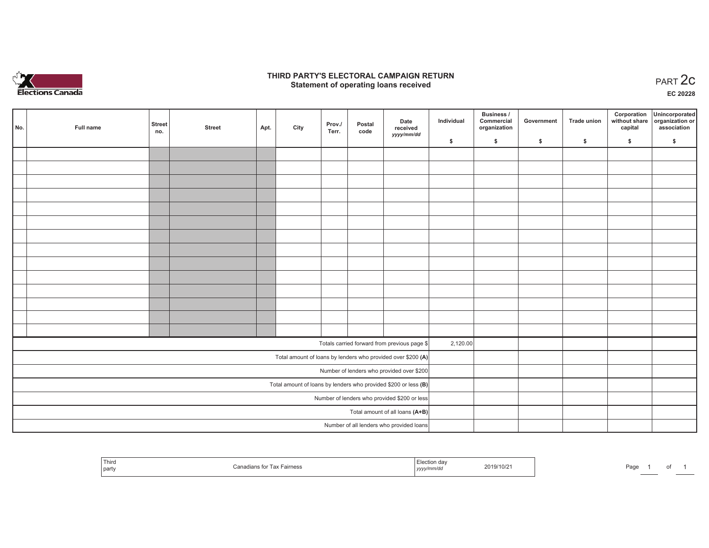

## **THIRD PARTY'S ELECTORAL CAMPAIGN RETURN STATE:** PERSON SELECTORAL CAMPAIGN RETURN<br>
Statement of operating loans received

**EC 20228**

| No. | Full name | <b>Street</b><br>no. | <b>Street</b> | Apt. | City | Prov./<br>Terr. | Postal<br>code | Date<br>received                                                | Individual | Business /<br>Commercial<br>organization | Government | <b>Trade union</b> | Corporation<br>capital | Unincorporated<br>without share organization or<br>association |
|-----|-----------|----------------------|---------------|------|------|-----------------|----------------|-----------------------------------------------------------------|------------|------------------------------------------|------------|--------------------|------------------------|----------------------------------------------------------------|
|     |           |                      |               |      |      |                 |                | yyyy/mm/dd                                                      | \$         | \$                                       | \$         | \$                 | \$                     | \$                                                             |
|     |           |                      |               |      |      |                 |                |                                                                 |            |                                          |            |                    |                        |                                                                |
|     |           |                      |               |      |      |                 |                |                                                                 |            |                                          |            |                    |                        |                                                                |
|     |           |                      |               |      |      |                 |                |                                                                 |            |                                          |            |                    |                        |                                                                |
|     |           |                      |               |      |      |                 |                |                                                                 |            |                                          |            |                    |                        |                                                                |
|     |           |                      |               |      |      |                 |                |                                                                 |            |                                          |            |                    |                        |                                                                |
|     |           |                      |               |      |      |                 |                |                                                                 |            |                                          |            |                    |                        |                                                                |
|     |           |                      |               |      |      |                 |                |                                                                 |            |                                          |            |                    |                        |                                                                |
|     |           |                      |               |      |      |                 |                |                                                                 |            |                                          |            |                    |                        |                                                                |
|     |           |                      |               |      |      |                 |                |                                                                 |            |                                          |            |                    |                        |                                                                |
|     |           |                      |               |      |      |                 |                |                                                                 |            |                                          |            |                    |                        |                                                                |
|     |           |                      |               |      |      |                 |                |                                                                 |            |                                          |            |                    |                        |                                                                |
|     |           |                      |               |      |      |                 |                |                                                                 |            |                                          |            |                    |                        |                                                                |
|     |           |                      |               |      |      |                 |                |                                                                 |            |                                          |            |                    |                        |                                                                |
|     |           |                      |               |      |      |                 |                |                                                                 |            |                                          |            |                    |                        |                                                                |
|     |           |                      |               |      |      |                 |                | Totals carried forward from previous page \$                    | 2,120.00   |                                          |            |                    |                        |                                                                |
|     |           |                      |               |      |      |                 |                | Total amount of loans by lenders who provided over \$200 (A)    |            |                                          |            |                    |                        |                                                                |
|     |           |                      |               |      |      |                 |                | Number of lenders who provided over \$200                       |            |                                          |            |                    |                        |                                                                |
|     |           |                      |               |      |      |                 |                | Total amount of loans by lenders who provided \$200 or less (B) |            |                                          |            |                    |                        |                                                                |
|     |           |                      |               |      |      |                 |                | Number of lenders who provided \$200 or less                    |            |                                          |            |                    |                        |                                                                |
|     |           |                      |               |      |      |                 |                | Total amount of all loans (A+B)                                 |            |                                          |            |                    |                        |                                                                |
|     |           |                      |               |      |      |                 |                | Number of all lenders who provided loans                        |            |                                          |            |                    |                        |                                                                |

| --<br>Third<br>  party | $f_{\alpha x}$ Tay<br>Tax Fairness<br>11.CLL 12 | ection<br><b>uo</b><br>yyyymmuu | 2019/10/2 | Page |  |  |  |
|------------------------|-------------------------------------------------|---------------------------------|-----------|------|--|--|--|
|------------------------|-------------------------------------------------|---------------------------------|-----------|------|--|--|--|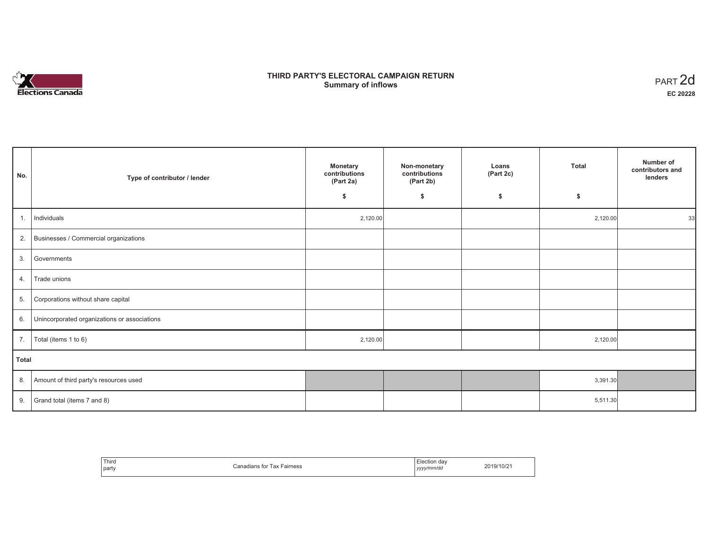

# **THIRD PARTY'S ELECTORAL CAMPAIGN RETURN Summary of inflows** PART 2d

| No.   | Type of contributor / lender                    | Monetary<br>contributions<br>(Part 2a) | Non-monetary<br>contributions<br>(Part 2b) | Loans<br>(Part 2c) | <b>Total</b> | Number of<br>contributors and<br>lenders |
|-------|-------------------------------------------------|----------------------------------------|--------------------------------------------|--------------------|--------------|------------------------------------------|
|       |                                                 | \$                                     | \$                                         | \$                 | \$           |                                          |
|       | 1.   Individuals                                | 2,120.00                               |                                            |                    | 2,120.00     | 33                                       |
|       | 2. Businesses / Commercial organizations        |                                        |                                            |                    |              |                                          |
| 3.    | Governments                                     |                                        |                                            |                    |              |                                          |
| 4.    | Trade unions                                    |                                        |                                            |                    |              |                                          |
| 5.    | Corporations without share capital              |                                        |                                            |                    |              |                                          |
|       | 6. Unincorporated organizations or associations |                                        |                                            |                    |              |                                          |
|       | 7.   Total (items 1 to 6)                       | 2,120.00                               |                                            |                    | 2,120.00     |                                          |
| Total |                                                 |                                        |                                            |                    |              |                                          |
|       | 8. Amount of third party's resources used       |                                        |                                            |                    | 3,391.30     |                                          |
| 9.    | Grand total (items 7 and 8)                     |                                        |                                            |                    | 5,511.30     |                                          |

| Third | Tax Fairness  | :lection dav | 2019/10/21 |
|-------|---------------|--------------|------------|
| part  | Canadians for | yyyy/mm/dd   |            |
| .     | . нал.        | ,,,,,        |            |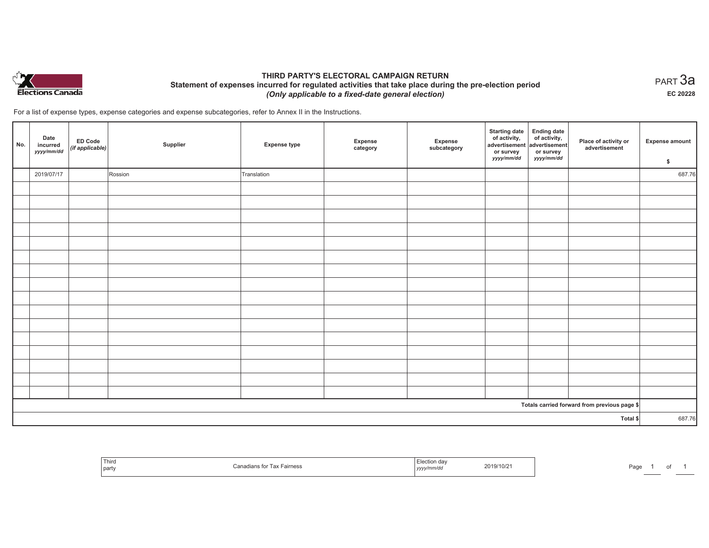

# **THIRD PARTY'S ELECTORAL CAMPAIGN RETURN Statement of expenses incurred for regulated activities that take place during the pre-election period**  *(Only applicable to a fixed-date general election)*

 $_{\sf PART}$ 3a **EC 20228**

For a list of expense types, expense categories and expense subcategories, refer to Annex II in the Instructions.

| No.      | Date<br>incurred<br>yyyy/mm/dd | ED Code<br>(if applicable) | Supplier | <b>Expense type</b> | Expense<br>category | Expense<br>subcategory | <b>Starting date</b><br>of activity,<br>advertisement<br>or survey<br>yyyy/mm/dd | Ending date<br>of activity,<br>advertisement<br>or survey<br>yyyy/mm/dd | Place of activity or<br>advertisement        | <b>Expense amount</b><br>\$ |
|----------|--------------------------------|----------------------------|----------|---------------------|---------------------|------------------------|----------------------------------------------------------------------------------|-------------------------------------------------------------------------|----------------------------------------------|-----------------------------|
|          | 2019/07/17                     |                            | Rossion  | Translation         |                     |                        |                                                                                  |                                                                         |                                              | 687.76                      |
|          |                                |                            |          |                     |                     |                        |                                                                                  |                                                                         |                                              |                             |
|          |                                |                            |          |                     |                     |                        |                                                                                  |                                                                         |                                              |                             |
|          |                                |                            |          |                     |                     |                        |                                                                                  |                                                                         |                                              |                             |
|          |                                |                            |          |                     |                     |                        |                                                                                  |                                                                         |                                              |                             |
|          |                                |                            |          |                     |                     |                        |                                                                                  |                                                                         |                                              |                             |
|          |                                |                            |          |                     |                     |                        |                                                                                  |                                                                         |                                              |                             |
|          |                                |                            |          |                     |                     |                        |                                                                                  |                                                                         |                                              |                             |
|          |                                |                            |          |                     |                     |                        |                                                                                  |                                                                         |                                              |                             |
|          |                                |                            |          |                     |                     |                        |                                                                                  |                                                                         |                                              |                             |
|          |                                |                            |          |                     |                     |                        |                                                                                  |                                                                         |                                              |                             |
|          |                                |                            |          |                     |                     |                        |                                                                                  |                                                                         |                                              |                             |
|          |                                |                            |          |                     |                     |                        |                                                                                  |                                                                         |                                              |                             |
|          |                                |                            |          |                     |                     |                        |                                                                                  |                                                                         |                                              |                             |
|          |                                |                            |          |                     |                     |                        |                                                                                  |                                                                         |                                              |                             |
|          |                                |                            |          |                     |                     |                        |                                                                                  |                                                                         |                                              |                             |
|          |                                |                            |          |                     |                     |                        |                                                                                  |                                                                         |                                              |                             |
|          |                                |                            |          |                     |                     |                        |                                                                                  |                                                                         | Totals carried forward from previous page \$ |                             |
| Total \$ |                                |                            |          |                     |                     | 687.76                 |                                                                                  |                                                                         |                                              |                             |

| Third<br>party | * Fairness | 2019/10/21<br>, yyyy | Pag |  |  |
|----------------|------------|----------------------|-----|--|--|
|----------------|------------|----------------------|-----|--|--|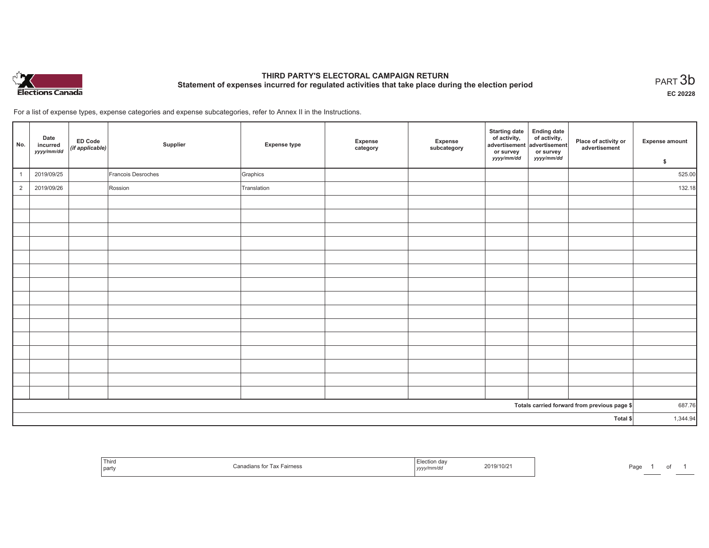

# **THIRD PARTY'S ELECTORAL CAMPAIGN RETURN Statement of expenses incurred for regulated activities that take place during the election period**<br>PART  $3\mathsf{b}$

**EC 20228**

For a list of expense types, expense categories and expense subcategories, refer to Annex II in the Instructions.

| No.            | Date<br>incurred<br>yyyy/mm/dd | ED Code<br>(if applicable) | Supplier           | <b>Expense type</b> | Expense<br>category | Expense<br>subcategory | <b>Starting date</b><br>of activity,<br>advertisement<br>or survey<br>yyyy/mm/dd | Ending date<br>of activity,<br>dadvertisement<br>or survey<br><i>yyyy/mm/dd</i> | Place of activity or<br>advertisement        | Expense amount<br>\$ |
|----------------|--------------------------------|----------------------------|--------------------|---------------------|---------------------|------------------------|----------------------------------------------------------------------------------|---------------------------------------------------------------------------------|----------------------------------------------|----------------------|
|                | 2019/09/25                     |                            | Francois Desroches | Graphics            |                     |                        |                                                                                  |                                                                                 |                                              | 525.00               |
| $\overline{2}$ | 2019/09/26                     |                            | Rossion            | Translation         |                     |                        |                                                                                  |                                                                                 |                                              | 132.18               |
|                |                                |                            |                    |                     |                     |                        |                                                                                  |                                                                                 |                                              |                      |
|                |                                |                            |                    |                     |                     |                        |                                                                                  |                                                                                 |                                              |                      |
|                |                                |                            |                    |                     |                     |                        |                                                                                  |                                                                                 |                                              |                      |
|                |                                |                            |                    |                     |                     |                        |                                                                                  |                                                                                 |                                              |                      |
|                |                                |                            |                    |                     |                     |                        |                                                                                  |                                                                                 |                                              |                      |
|                |                                |                            |                    |                     |                     |                        |                                                                                  |                                                                                 |                                              |                      |
|                |                                |                            |                    |                     |                     |                        |                                                                                  |                                                                                 |                                              |                      |
|                |                                |                            |                    |                     |                     |                        |                                                                                  |                                                                                 |                                              |                      |
|                |                                |                            |                    |                     |                     |                        |                                                                                  |                                                                                 |                                              |                      |
|                |                                |                            |                    |                     |                     |                        |                                                                                  |                                                                                 |                                              |                      |
|                |                                |                            |                    |                     |                     |                        |                                                                                  |                                                                                 |                                              |                      |
|                |                                |                            |                    |                     |                     |                        |                                                                                  |                                                                                 |                                              |                      |
|                |                                |                            |                    |                     |                     |                        |                                                                                  |                                                                                 |                                              |                      |
|                |                                |                            |                    |                     |                     |                        |                                                                                  |                                                                                 |                                              |                      |
|                |                                |                            |                    |                     |                     |                        |                                                                                  |                                                                                 |                                              |                      |
|                |                                |                            |                    |                     |                     |                        |                                                                                  |                                                                                 | Totals carried forward from previous page \$ | 687.76               |
| Total \$       |                                |                            |                    |                     |                     | 1,344.94               |                                                                                  |                                                                                 |                                              |                      |

| Third<br>ੋ for Tax Fairness<br>$$ nans "<br>party | A<br>un uav<br>2019/10/2 <sup>.</sup><br>'''''''u<br>  ソソソ) | Page |
|---------------------------------------------------|-------------------------------------------------------------|------|
|---------------------------------------------------|-------------------------------------------------------------|------|